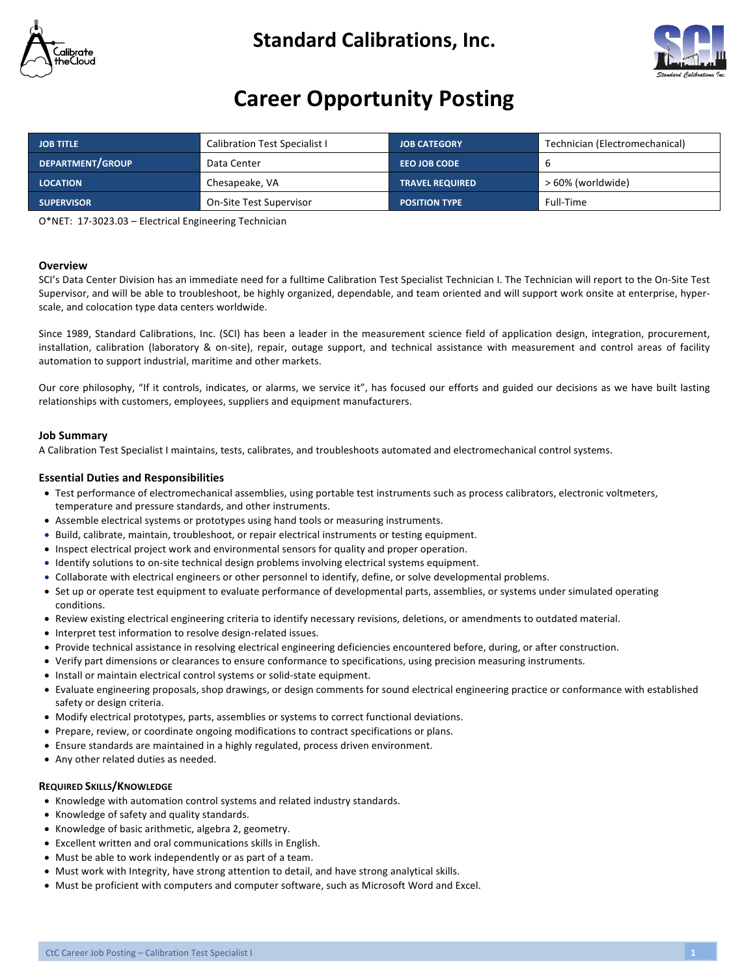

### **Standard Calibrations, Inc.**



## **Career Opportunity Posting**

| <b>JOB TITLE</b>  | <b>Calibration Test Specialist I</b> | <b>JOB CATEGORY</b>    | Technician (Electromechanical) |
|-------------------|--------------------------------------|------------------------|--------------------------------|
| DEPARTMENT/GROUP  | Data Center                          | <b>EEO JOB CODE</b>    | ь                              |
| <b>LOCATION</b>   | Chesapeake, VA                       | <b>TRAVEL REQUIRED</b> | > 60% (worldwide)              |
| <b>SUPERVISOR</b> | On-Site Test Supervisor              | <b>POSITION TYPE</b>   | Full-Time                      |

O\*NET: 17-3023.03 - Electrical Engineering Technician

#### **Overview**

SCI's Data Center Division has an immediate need for a fulltime Calibration Test Specialist Technician I. The Technician will report to the On-Site Test Supervisor, and will be able to troubleshoot, be highly organized, dependable, and team oriented and will support work onsite at enterprise, hyperscale, and colocation type data centers worldwide.

Since 1989, Standard Calibrations, Inc. (SCI) has been a leader in the measurement science field of application design, integration, procurement, installation, calibration (laboratory & on-site), repair, outage support, and technical assistance with measurement and control areas of facility automation to support industrial, maritime and other markets.

Our core philosophy, "If it controls, indicates, or alarms, we service it", has focused our efforts and guided our decisions as we have built lasting relationships with customers, employees, suppliers and equipment manufacturers.

#### **Job Summary**

A Calibration Test Specialist I maintains, tests, calibrates, and troubleshoots automated and electromechanical control systems.

#### **Essential Duties and Responsibilities**

- Test performance of electromechanical assemblies, using portable test instruments such as process calibrators, electronic voltmeters, temperature and pressure standards, and other instruments.
- Assemble electrical systems or prototypes using hand tools or measuring instruments.
- Build, calibrate, maintain, troubleshoot, or repair electrical instruments or testing equipment.
- Inspect electrical project work and environmental sensors for quality and proper operation.
- Identify solutions to on-site technical design problems involving electrical systems equipment.
- Collaborate with electrical engineers or other personnel to identify, define, or solve developmental problems.
- Set up or operate test equipment to evaluate performance of developmental parts, assemblies, or systems under simulated operating conditions.
- Review existing electrical engineering criteria to identify necessary revisions, deletions, or amendments to outdated material.
- Interpret test information to resolve design-related issues.
- Provide technical assistance in resolving electrical engineering deficiencies encountered before, during, or after construction.
- Verify part dimensions or clearances to ensure conformance to specifications, using precision measuring instruments.
- Install or maintain electrical control systems or solid-state equipment.
- Evaluate engineering proposals, shop drawings, or design comments for sound electrical engineering practice or conformance with established safety or design criteria.
- Modify electrical prototypes, parts, assemblies or systems to correct functional deviations.
- Prepare, review, or coordinate ongoing modifications to contract specifications or plans.
- Ensure standards are maintained in a highly regulated, process driven environment.
- Any other related duties as needed.

#### **REQUIRED SKILLS/KNOWLEDGE**

- Knowledge with automation control systems and related industry standards.
- Knowledge of safety and quality standards.
- Knowledge of basic arithmetic, algebra 2, geometry.
- Excellent written and oral communications skills in English.
- Must be able to work independently or as part of a team.
- Must work with Integrity, have strong attention to detail, and have strong analytical skills.
- Must be proficient with computers and computer software, such as Microsoft Word and Excel.